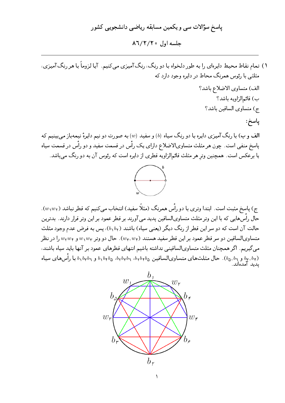# پاسخ سؤالات سی و یکمین مسابقه ریاضی دانشجویی کشور جلسه اول ۸٦/٢/٢٥

۱) تمام نقاط محیط دایرهای را به طور دلخواه با دو رنگ، رنگ آمیزی مبی کنیم. آیا لزوماً با هر رنگ آمیزی، مثلثی با رئوس همرنگ محاط در دایره وجود دارد که

> الف) متساوى الاضلاع باشد؟ ب) قائم|لزاويه باشد؟ ج) متساوى الساقين باشد؟

### پاسخ:

الف و ب) با رنگ آمیزی دایره با دو رنگ سیاه (b) و سفید (w) به صورت دو نیم دایرهٔ نیمهباز می بینیم که پاسخ منفی است. چون هر مثلث متساویالاضلاع دارای یک رأس در قسمت سفید و دو رأس در قسمت سیاه یا برعکس است. همچنین وتر هر مثلث قائم|لزاویه قطری از دایره است که رئوس آن به دو رنگ میباشد.



ج) پاسخ مثبت است. ابتدا وتری با دو رأس همرنگ (مثلًا سفید) انتخاب میکنیم که قطر نباشد ( $w_{{\sf V}}$ ). حال رأسهایی که با این وتر مثلث متساویالساقین پدید می آورند بر قطر عمود بر این وتر قرار دارند. بدترین حالت آن است که دو سر این قطر از رنگ دیگر (یعنبی سیاه) باشند (۱٫b۲)، پس به فرض عدم وجود مثلث متساویالساقین دو سر قطر عمود بر این قطر سفید هستند ( $w_{\mathsf{f}},w_{\mathsf{f}}$ ). حال دو وتر  $w_{\mathsf{f}}$ س و  $w_{\mathsf{f}}$  را در نظر می گیریم. اگر همچنان مثلث متساویالساقینی نداشته باشیم انتهای قطرهای عمود بر آنها باید سیاه باشند، ر میره می ده.<br>( b, br, br و حال مثلث های متساویالساقین هایه b, br br b, br b, br و b, brb, با رأس های سیاه<br>پدید آمدهاند.

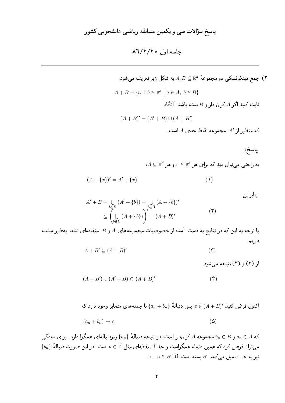جمع مینکوفسکی دو مجموعهٔ  $A,B\subseteq \mathbb{R}^d$  به شکل زیر تعریف میشود:  $\mathsf{Y}$  $A + B = \{a + b \in \mathbb{R}^d \mid a \in A, b \in B\}$  $A$  ثابت کنید اگر  $A$  کران دار و  $B$  بسته باشد، آنگاه  $(A + B)' = (A' + B) \cup (A + B')$  $A'$  که منظور از  $A'$ ، مجموعه نقاط حدی  $A$  است پاسخ:  $A \subseteq \mathbb{R}^d$  به راحتی می توان دید که برای هر  $x \in \mathbb{R}^d$  و هر  $(A + \{x\})' = A' + \{x\}$  $(1)$ 

$$
A' + B = \bigcup_{b \in B} (A' + \{b\}) = \bigcup_{b \in B} (A + \{b\})'
$$
  
\n
$$
\subseteq \left(\bigcup_{b \in B} (A + \{b\})\right)' = (A + B)'
$$
 (7)

با توجه به این که در نتایج به دست آمده از خصوصیات مجموعههای A و B استفادهای نشد، بهطور مشابه داريم

$$
A + B' \subseteq (A + B)'
$$
 (7)

از (۲) و (۳) نتيجه مي شود

$$
(A + B') \cup (A' + B) \subseteq (A + B)'
$$
 (5)

اکنون فرض کنید  $c \in (A+B)$  . پس دنبالهٔ  $\{a_n + b_n\}$  با جملههای متمایز وجود دارد که

$$
(a_n + b_n) \to c \tag{2}
$$

که  $A \in B$  و  $b_n \in B$  مجموعه  $A$  کراندار است، در نتیجه دنبالهٔ  $\{a_n\}$  زیردنبالهای همگرا دارد. برای سادگی  $\{b_n\}$  میتوان فرض کرد که همین دنباله همگراست و حد آن نقطهای مثل  $\bar{A}\in a\in a$ است. در این صورت دنبالهٔ  $c-a\in B$  نيزبه  $c-a$  ميل مي كند.  $B$  بسته است، لذا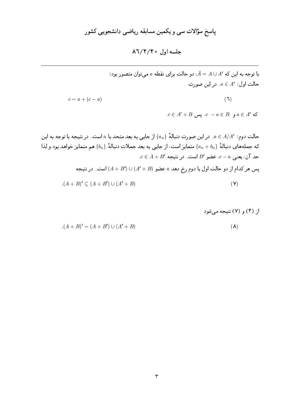$$
(A + B)' = (A + B') \cup (A' + B)
$$
 (A)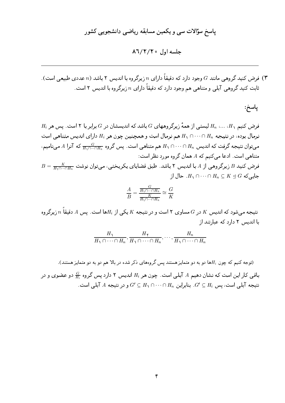### یاسخ سؤالات سے و یکمپن مسابقه ریاضے دانشجویے کشور

 $\lambda$ 7/٢/٢٥ حلسه اول ١٦/٢/٢٥

فرض کنید گروهی مانند  $G$  وجود دارد که دقیقاً دارای  $n$  زیرگروه با اندیس ۲ باشد ( $n$  عددی طبیعی است). " ثابت کنید گروهی آبلی و متناهی هم وجود دارد که دقیقاً دارای  $n$  زیرگروه با اندیس ۲ است.

پاسخ:

 $H_i$  فرض کنیم ۱ $H_n$  .... ،  $H_n$  لیستی از همهٔ زیرگروههای  $G$  باشد که اندیسشان در G برابر با ۲ است. یس هر نرمال بوده، در نتیجه  $H_1 \cap \cdots \cap H_n$  هم نرمال است و همچنین چون هر  $H_i$  دارای اندیس متناهیی است میتوان نتیجه گرفت که اندیس  $H_n \cap \cdots \cap H_n$  هم متناهیی است. پس گروه  $\frac{G}{H_1 \cap \cdots \cap H_n}$  که آنرا A مینامیم، متناهی است. ادعا می کنیم که A همان گروه مورد نظر است:  $B=\frac{K}{H\sqrt{1+\epsilon_0+1}}$ فرض کنید  $B$  زیرگروهی از A با اندیس ۲ باشد. طبق قضایای یکریختی، میتوان نوشت

جایے که  $H_1 \cap \cdots \cap H_n \subseteq K \trianglelefteq G$  . حال از

$$
\frac{A}{B} = \frac{\frac{G}{H_1 \cap \dots \cap H_n}}{\frac{K}{H_1 \cap \dots \cap H_n}} \cong \frac{G}{K}
$$

نتیجه میشود که اندیس  $K$  در  $G$  مساوی ۲ است و در نتیجه  $K$  یکی از  $H_i$ ها است. پس  $A$  دقیقاً  $n$  زیرگروه با اندیس ۲ دارد که عبارتند از

$$
\frac{H_1}{H_1 \cap \cdots \cap H_n}, \frac{H_{\gamma}}{H_1 \cap \cdots \cap H_n}, \cdots, \frac{H_n}{H_1 \cap \cdots \cap H_n}
$$

(توجه کنیم که چون  $H_i$ ها دو به دو متمایز هستند پس گروههای ذکر شده در بالا هم دو به دو متمایز هستند). باقبی کار این است که نشان دهیم A آبلبی است. چون هر  $H_i$  اندیس ۲ دارد پس گروه  $\frac{G}{H}$  دو عضوی و در . نتیجه آبلی است، پس  $G'\subseteq H_i$ . بنابراین  $H_n\cap\cdots\cap H_n$  و در نتیجه  $A$  آبلی است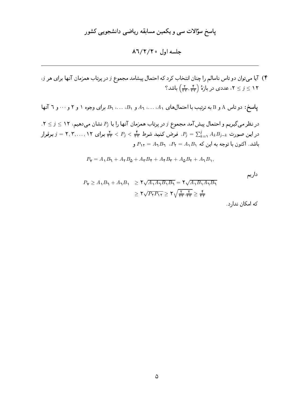## پاسخ سؤالات سی و یکمین مسابقه ریاضی دانشجویی کشور

### $\lambda$ ٦/٢/٢٥ مارك

۴) آیا می توان دو تاس ناسالم را چنان انتخاب کرد که احتمال پیشامد مجموع ز در پرتاب همزمان آنها برای هر ز، ا که کا عددی در بازهٔ  $\left(\frac{\mathsf{y}}{\mathsf{y}\mathsf{y}},\frac{\mathsf{y}}{\mathsf{y}\mathsf{y}}\right)$  باشد؟  $\mathsf{y} \leq \mathsf{y}$ 

پاسخ: دو تاس A و B به ترتیب با احتمال های A1، . . .، A و B، . . .، B، برای وجوه ۱ و ۲ و ۰۰۰ و ٦ آنها

 $\mathcal{S} \leq \mathcal{S} \leq \mathcal{S}$ در نظر میگیریم و احتمال پیش آمد مجموع  $j$  در پرتاب همزمان آنها را با  $P_j$  نشان میدهیم، ۱۲  $j \leq \mathcal{S}$ . در این صورت $j=1, A_k$   $B_{j-k}$  فرض کنید شرط  $\frac{1}{\mathsf{F}\mathsf{F}} < P_j < \frac{1}{\mathsf{F}\mathsf{F}} < P_j < \frac{1}{\mathsf{F}\mathsf{F}}$ . فرض کنید شرط  $P_j = \frac{1}{\mathsf{F}\mathsf{F}}$  برای  $P_{11} = A_1 B_1$  باشد. اکنون با توجه به این که  $P_1 = A_1 B_1$  ،  $P_2 = A_2 B_2$  و

$$
P_{\mathbf{Y}} = A_{\mathbf{Y}}B_{\mathbf{Y}} + A_{\mathbf{Y}}B_{\mathbf{Q}} + A_{\mathbf{Y}}B_{\mathbf{Y}} + A_{\mathbf{Y}}B_{\mathbf{Y}} + A_{\mathbf{Q}}B_{\mathbf{Y}} + A_{\mathbf{Y}}B_{\mathbf{Y}},
$$

داريم

$$
P_{\mathbf{Y}} \ge A_{\mathbf{Y}} B_{\mathbf{Y}} + A_{\mathbf{Y}} B_{\mathbf{Y}} \ge \mathbf{Y} \sqrt{A_{\mathbf{Y}} A_{\mathbf{Y}} B_{\mathbf{Y}}} = \mathbf{Y} \sqrt{A_{\mathbf{Y}} B_{\mathbf{Y}} A_{\mathbf{Y}} B_{\mathbf{Y}}}
$$

$$
\ge \mathbf{Y} \sqrt{P_{\mathbf{Y}} P_{\mathbf{Y}} \mathbf{Y}} \ge \mathbf{Y} \sqrt{\frac{\mathbf{Y}}{\mathbf{Y} \mathbf{Y}} \cdot \frac{\mathbf{Y}}{\mathbf{Y} \mathbf{Y}}} \ge \frac{\mathbf{F}}{\mathbf{Y} \mathbf{Y}}
$$

كه امكان ندارد.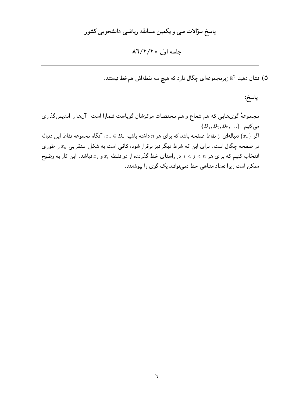## پاسخ سؤالات سی و یکمین مسابقه ریاضی دانشجویی کشور

#### جلسه اول ٨٦/٢/٢٥

۵) نشان دهید <sup>۲</sup>R زیرمجموعهای چگال دارد که هیچ سه نقطهاش همخط نیستند.

پاسخ:

مجموعهٔ گویهایی که هم شعاع و هم مختصات مرکزشان گویاست شمارا است. آنها را اندیس گذاری  $\{B_1, B_{\mathbf{y}}, B_{\mathbf{y}}, \ldots\}$  می اگر  $\{x_n\}$  دنبالهای از نقاط صفحه باشد که برای هر n داشته باشیم  $x_n\in B_n$ ، آنگاه مجموعه نقاط این دنباله در صفحه چگال است. برای این که شرط دیگر نیز برقرار شود، کافی است به شکل استقرایی  $x_n$  را طوری انتخاب کنیم که برای هر  $i < j < i < j$  در راستای خط گذرنده از دو نقطه  $x_i$  و  $x_j$  نباشد. این کار به وضوح ممکن است زیرا تعداد متناهی خط نمیتوانند یک گوی را بپوشانند.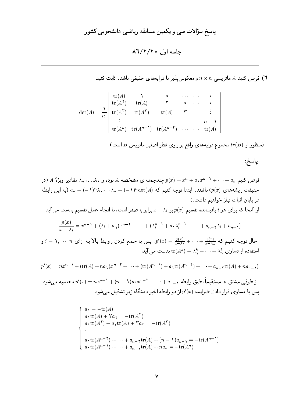ا) فرض کنید A ماتریسی  $n \times n$  و معکوس پذیر با درایههای حقیقی باشد. ثابت کنید:  $\mathcal A$ 

$$
\det(A) = \frac{1}{n!} \begin{vmatrix} tr(A) & \lambda & \circ & \cdots & \cdots & \circ \\ tr(A^{\mathsf{T}}) & tr(A) & \mathsf{T} & \circ & \cdots & \circ \\ tr(A^{\mathsf{T}}) & tr(A^{\mathsf{T}}) & tr(A) & \mathsf{T} & \vdots \\ \vdots & & & & n-1 \\ tr(A^n) & tr(A^{n-1}) & tr(A^{n-1}) & \cdots & \cdots & tr(A) \end{vmatrix}
$$

(منظور از  $tr(B)$  مجموع درایههای واقع بر روی قطر اصلی ماتریس  $B$  است).

فرض کنیم  $a_n \stackrel{\star}{\ldots}$  +  $a_1 x^{n-1} + \cdots + a_n$  چندجملهای مشخصه  $A$  بوده و ۱ $\lambda_n \ldots \lambda_n$  مقادیر ویژهٔ  $A$  (در حقیقت ریشههای  $(p(x)$  باشند. ابتدا توجه کنیم که  $\det(A)$ ( ۱ –)  $\lambda_1 \cdots \lambda_n = (-1)^n \lambda_1 \cdots \lambda_n$  (به این رابطه دريايان اثبات نياز خواهيم داشت.)

از آنجا که برای هر  $i$  باقیمانده تقسیم  $p(x)$  بر  $x-\lambda_i$  برابر با صفر است، با انجام عمل تقسیم بدست می آید

$$
\frac{p(x)}{x-\lambda_i} = x^{n-1} + (\lambda_i + a_1)x^{n-1} + \dots + (\lambda_i^{n-1} + a_1\lambda_i^{n-1} + \dots + a_{n-1}\lambda_i + a_{n-1})
$$

حال توجه کنیم که  $\frac{p(x)}{x-\lambda_1}+\cdots+\frac{p(x)}{x-\lambda_1}=\frac{p(x)}{x-\lambda_1}+\cdots+\frac{p(x)}{x-\lambda_n}$  و . $p'(x)=p'(x)$  به ازای استفاده از تساوی $\lambda_n^k + \cdots + \lambda_n^k = \text{tr}(A^k) = \lambda_1^k + \cdots$  بدست می آید

$$
p'(x) = nx^{n-1} + (\text{tr}(A) + na_1)x^{n-1} + \dots + (\text{tr}(A^{n-1}) + a_1\text{tr}(A^{n-1}) + \dots + a_{n-1}\text{tr}(A) + na_{n-1})
$$

. از طرفی مشتق  $p$ ، مستقیماً، طبق رابطه  $a_{n-1}+a_{n-1}+\cdots+a_{n-1}+n=n$  محاسبه میشود. یس با مساوی قرار دادن ضرایب  $p^\prime(x)$  از دو رابطه اخیر دستگاه زیر تشکیل می شود:

$$
\begin{cases}\na_1 = -\operatorname{tr}(A) \\
a_1 \operatorname{tr}(A) + \operatorname{Var} = -\operatorname{tr}(A^{\mathsf{T}}) \\
a_1 \operatorname{tr}(A^{\mathsf{T}}) + a_1 \operatorname{tr}(A) + \operatorname{Var} = -\operatorname{tr}(A^{\mathsf{T}}) \\
\vdots \\
a_1 \operatorname{tr}(A^{n-1}) + \cdots + a_{n-1} \operatorname{tr}(A) + (n-1)a_{n-1} = -\operatorname{tr}(A^{n-1}) \\
a_1 \operatorname{tr}(A^{n-1}) + \cdots + a_{n-1} \operatorname{tr}(A) + na_n = -\operatorname{tr}(A^n)\n\end{cases}
$$